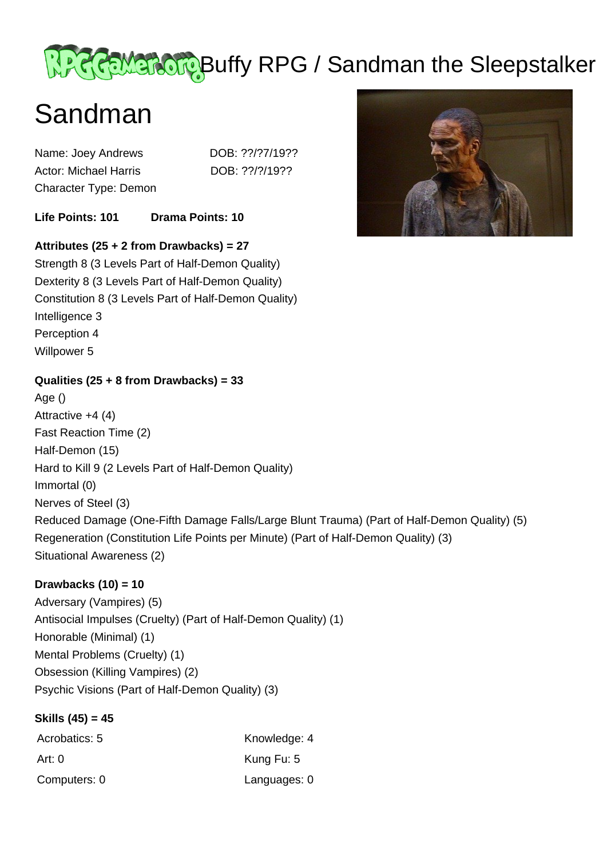# Recompone Buffy RPG / Sandman the Sleepstalker

# Sandman

Name: Joey Andrews DOB: ??/?7/19?? Actor: Michael Harris DOB: ??/?/19?? Character Type: Demon

**Life Points: 101 Drama Points: 10** 

## **Attributes (25 + 2 from Drawbacks) = 27**

Strength 8 (3 Levels Part of Half-Demon Quality) Dexterity 8 (3 Levels Part of Half-Demon Quality) Constitution 8 (3 Levels Part of Half-Demon Quality) Intelligence 3 Perception 4 Willpower 5

#### **Qualities (25 + 8 from Drawbacks) = 33**

Age () Attractive +4 (4) Fast Reaction Time (2) Half-Demon (15) Hard to Kill 9 (2 Levels Part of Half-Demon Quality) Immortal (0) Nerves of Steel (3) Reduced Damage (One-Fifth Damage Falls/Large Blunt Trauma) (Part of Half-Demon Quality) (5) Regeneration (Constitution Life Points per Minute) (Part of Half-Demon Quality) (3) Situational Awareness (2)

### **Drawbacks (10) = 10**

Adversary (Vampires) (5) Antisocial Impulses (Cruelty) (Part of Half-Demon Quality) (1) Honorable (Minimal) (1) Mental Problems (Cruelty) (1) Obsession (Killing Vampires) (2) Psychic Visions (Part of Half-Demon Quality) (3)

#### **Skills (45) = 45**

| Acrobatics: 5 | Knowledge: 4 |
|---------------|--------------|
| Art: 0        | Kung Fu: 5   |
| Computers: 0  | Languages: 0 |

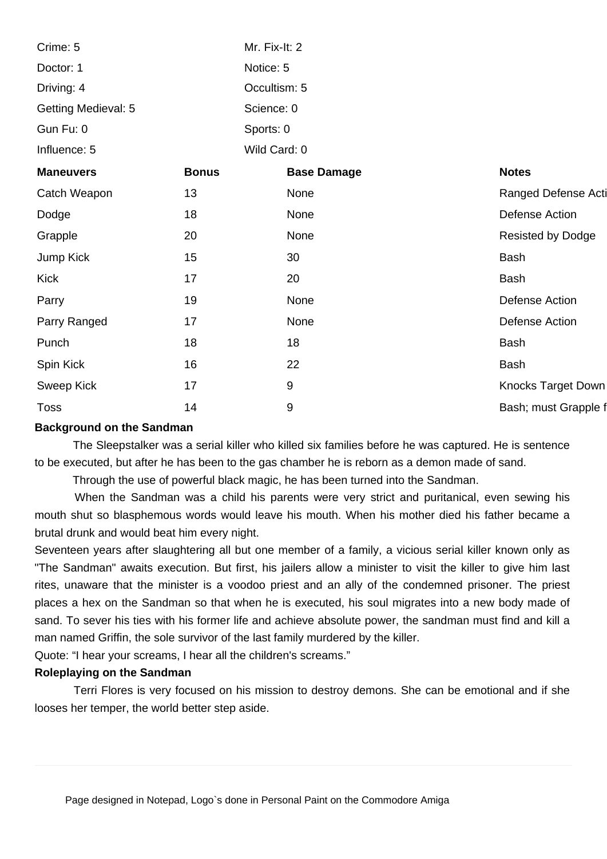| Crime: 5                   |              | Mr. Fix-It: 2 |                    |  |                          |
|----------------------------|--------------|---------------|--------------------|--|--------------------------|
| Doctor: 1                  |              | Notice: 5     |                    |  |                          |
| Driving: 4                 |              | Occultism: 5  |                    |  |                          |
| <b>Getting Medieval: 5</b> |              | Science: 0    |                    |  |                          |
| Gun Fu: 0                  |              | Sports: 0     |                    |  |                          |
| Influence: 5               |              | Wild Card: 0  |                    |  |                          |
| <b>Maneuvers</b>           | <b>Bonus</b> |               | <b>Base Damage</b> |  | <b>Notes</b>             |
| Catch Weapon               | 13           |               | None               |  | Ranged Defense Acti      |
| Dodge                      | 18           |               | None               |  | Defense Action           |
| Grapple                    | 20           |               | None               |  | <b>Resisted by Dodge</b> |
| Jump Kick                  | 15           |               | 30                 |  | <b>Bash</b>              |
| <b>Kick</b>                | 17           |               | 20                 |  | Bash                     |
| Parry                      | 19           |               | None               |  | Defense Action           |
| Parry Ranged               | 17           |               | None               |  | Defense Action           |
| Punch                      | 18           |               | 18                 |  | <b>Bash</b>              |
| Spin Kick                  | 16           |               | 22                 |  | <b>Bash</b>              |
| Sweep Kick                 | 17           |               | $9\,$              |  | Knocks Target Down       |
| <b>Toss</b>                | 14           |               | $9\,$              |  | Bash; must Grapple f     |

#### **Background on the Sandman**

 The Sleepstalker was a serial killer who killed six families before he was captured. He is sentence to be executed, but after he has been to the gas chamber he is reborn as a demon made of sand.

Through the use of powerful black magic, he has been turned into the Sandman.

 When the Sandman was a child his parents were very strict and puritanical, even sewing his mouth shut so blasphemous words would leave his mouth. When his mother died his father became a brutal drunk and would beat him every night.

Seventeen years after slaughtering all but one member of a family, a vicious serial killer known only as "The Sandman" awaits execution. But first, his jailers allow a minister to visit the killer to give him last rites, unaware that the minister is a voodoo priest and an ally of the condemned prisoner. The priest places a hex on the Sandman so that when he is executed, his soul migrates into a new body made of sand. To sever his ties with his former life and achieve absolute power, the sandman must find and kill a man named Griffin, the sole survivor of the last family murdered by the killer.

Quote: "I hear your screams, I hear all the children's screams."

#### **Roleplaying on the Sandman**

 Terri Flores is very focused on his mission to destroy demons. She can be emotional and if she looses her temper, the world better step aside.